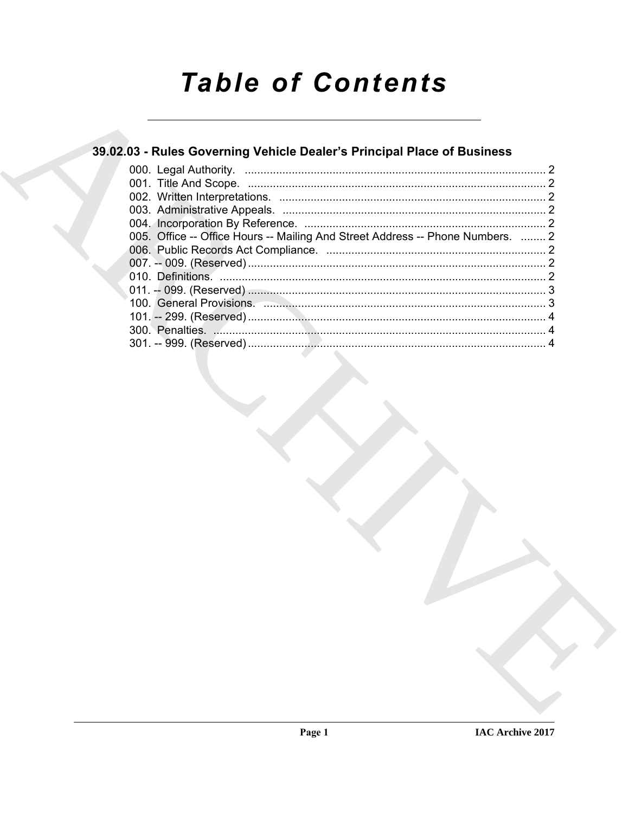# **Table of Contents**

### 39.02.03 - Rules Governing Vehicle Dealer's Principal Place of Business

| 005. Office -- Office Hours -- Mailing And Street Address -- Phone Numbers.  2 |  |
|--------------------------------------------------------------------------------|--|
|                                                                                |  |
|                                                                                |  |
|                                                                                |  |
|                                                                                |  |
|                                                                                |  |
|                                                                                |  |
|                                                                                |  |
|                                                                                |  |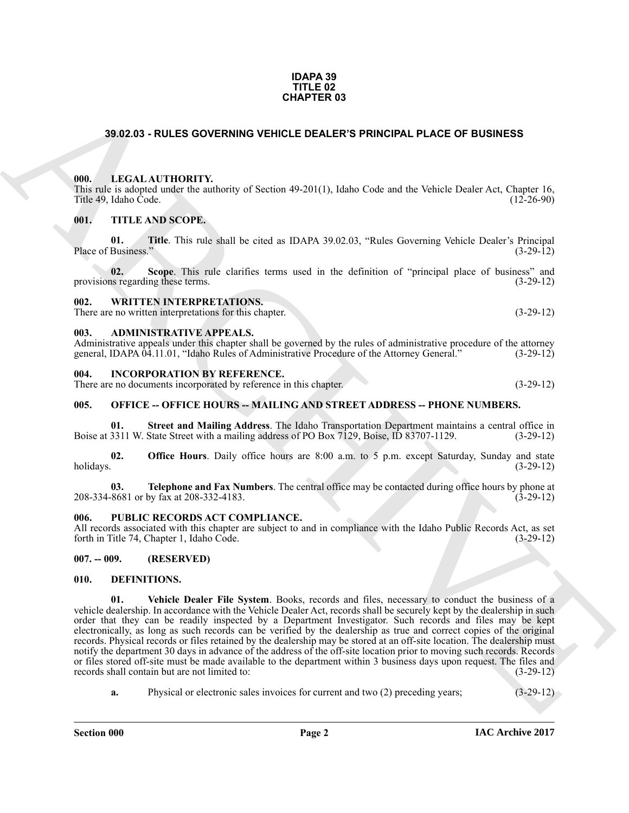#### **IDAPA 39 TITLE 02 CHAPTER 03**

#### <span id="page-1-14"></span><span id="page-1-0"></span>**39.02.03 - RULES GOVERNING VEHICLE DEALER'S PRINCIPAL PLACE OF BUSINESS**

#### <span id="page-1-1"></span>**000. LEGAL AUTHORITY.**

This rule is adopted under the authority of Section 49-201(1), Idaho Code and the Vehicle Dealer Act, Chapter 16, Title 49, Idaho Code. (12-26-90)

#### <span id="page-1-20"></span><span id="page-1-2"></span>**001. TITLE AND SCOPE.**

<span id="page-1-22"></span>**01.** Title. This rule shall be cited as IDAPA 39.02.03, "Rules Governing Vehicle Dealer's Principal Business." (3-29-12) Place of Business."

<span id="page-1-21"></span>**02.** Scope. This rule clarifies terms used in the definition of "principal place of business" and is regarding these terms. (3-29-12) provisions regarding these terms.

#### <span id="page-1-23"></span><span id="page-1-3"></span>**002. WRITTEN INTERPRETATIONS.**

There are no written interpretations for this chapter. (3-29-12)

#### <span id="page-1-10"></span><span id="page-1-4"></span>**003. ADMINISTRATIVE APPEALS.**

Administrative appeals under this chapter shall be governed by the rules of administrative procedure of the attorney general, IDAPA 04.11.01, "Idaho Rules of Administrative Procedure of the Attorney General." (3-29-12) general, IDAPA 04.11.01, "Idaho Rules of Administrative Procedure of the Attorney General."

#### <span id="page-1-13"></span><span id="page-1-5"></span>**004. INCORPORATION BY REFERENCE.**

There are no documents incorporated by reference in this chapter. (3-29-12)

#### <span id="page-1-18"></span><span id="page-1-6"></span>**005. OFFICE -- OFFICE HOURS -- MAILING AND STREET ADDRESS -- PHONE NUMBERS.**

<span id="page-1-16"></span>**01. Street and Mailing Address**. The Idaho Transportation Department maintains a central office in 3311 W. State Street with a mailing address of PO Box 7129, Boise, ID 83707-1129. (3-29-12) Boise at 3311 W. State Street with a mailing address of PO Box 7129, Boise, ID 83707-1129.

<span id="page-1-15"></span>**02. Office Hours**. Daily office hours are 8:00 a.m. to 5 p.m. except Saturday, Sunday and state holidays. (3-29-12) holidays. (3-29-12)

<span id="page-1-17"></span>**03. Telephone and Fax Numbers**. The central office may be contacted during office hours by phone at  $8681$  or by fax at  $208-332-4183$ . (3-29-12) 208-334-8681 or by fax at 208-332-4183.

#### <span id="page-1-19"></span><span id="page-1-7"></span>PUBLIC RECORDS ACT COMPLIANCE.

All records associated with this chapter are subject to and in compliance with the Idaho Public Records Act, as set forth in Title 74, Chapter 1, Idaho Code. (3-29-12)

#### <span id="page-1-8"></span>**007. -- 009. (RESERVED)**

#### <span id="page-1-12"></span><span id="page-1-11"></span><span id="page-1-9"></span>**010. DEFINITIONS.**

**SHOZON - RULES GOVERNING VEHICLE DEALER'S PRINCIPAL PLACE OF BUSINESS<br>
1960 - LECAL ALTITORITY: heats of Scales 49-201(1), Italia Code and the Vehicle Dealer Art. Chapter 15,<br>
1960 - TITLE AND SCOPE.<br>
1961 - TITLE AND SC 01. Vehicle Dealer File System**. Books, records and files, necessary to conduct the business of a vehicle dealership. In accordance with the Vehicle Dealer Act, records shall be securely kept by the dealership in such order that they can be readily inspected by a Department Investigator. Such records and files may be kept electronically, as long as such records can be verified by the dealership as true and correct copies of the original records. Physical records or files retained by the dealership may be stored at an off-site location. The dealership must notify the department 30 days in advance of the address of the off-site location prior to moving such records. Records or files stored off-site must be made available to the department within 3 business days upon request. The files and records shall contain but are not limited to: (3-29-12) records shall contain but are not limited to:

**a.** Physical or electronic sales invoices for current and two (2) preceding years; (3-29-12)

**Section 000 Page 2**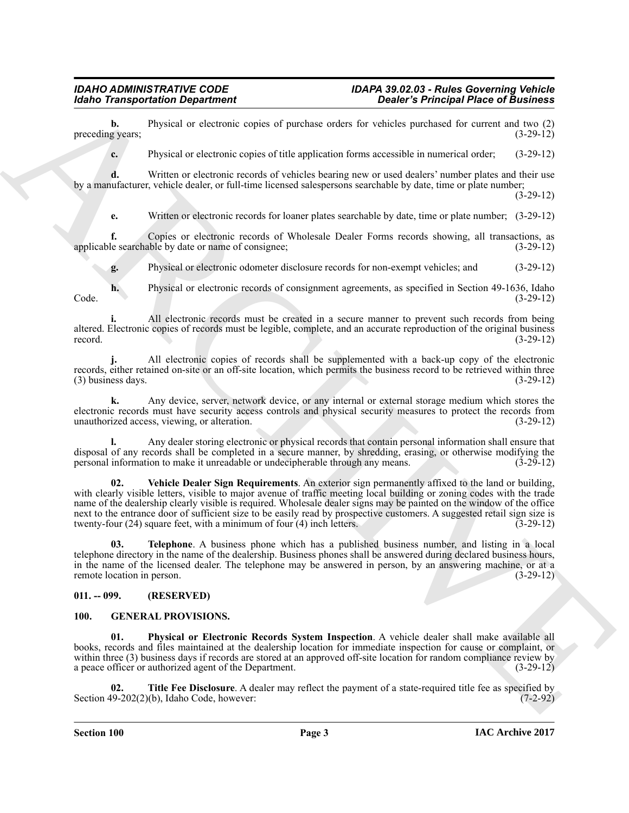**b.** Physical or electronic copies of purchase orders for vehicles purchased for current and two (2) g years: (3-29-12) preceding years;

**c.** Physical or electronic copies of title application forms accessible in numerical order; (3-29-12)

**d.** Written or electronic records of vehicles bearing new or used dealers' number plates and their use by a manufacturer, vehicle dealer, or full-time licensed salespersons searchable by date, time or plate number;

 $(3-29-12)$ 

**e.** Written or electronic records for loaner plates searchable by date, time or plate number; (3-29-12)

**f.** Copies or electronic records of Wholesale Dealer Forms records showing, all transactions, as le searchable by date or name of consignee; applicable searchable by date or name of consignee;

**g.** Physical or electronic odometer disclosure records for non-exempt vehicles; and (3-29-12)

**h.** Physical or electronic records of consignment agreements, as specified in Section 49-1636, Idaho (3-29-12) Code. (3-29-12)

**i.** All electronic records must be created in a secure manner to prevent such records from being altered. Electronic copies of records must be legible, complete, and an accurate reproduction of the original business record.  $(3-29-12)$ 

**j.** All electronic copies of records shall be supplemented with a back-up copy of the electronic records, either retained on-site or an off-site location, which permits the business record to be retrieved within three<br>(3) business days. (3-29-12)  $(3)$  business days.

**k.** Any device, server, network device, or any internal or external storage medium which stores the electronic records must have security access controls and physical security measures to protect the records from unauthorized access, viewing, or alteration. (3-29-12) unauthorized access, viewing, or alteration. (3-29-12)

<span id="page-2-3"></span>**l.** Any dealer storing electronic or physical records that contain personal information shall ensure that disposal of any records shall be completed in a secure manner, by shredding, erasing, or otherwise modifying the personal information to make it unreadable or undecipherable through any means. (3-29-12) personal information to make it unreadable or undecipherable through any means.

Mohio Transportation Department<br>
procedure, procedure optical procedure and the stationary control of the stationary procedure and the stationary procedure optical procedure optical procedure and the stationary procedure **02. Vehicle Dealer Sign Requirements**. An exterior sign permanently affixed to the land or building, with clearly visible letters, visible to major avenue of traffic meeting local building or zoning codes with the trade name of the dealership clearly visible is required. Wholesale dealer signs may be painted on the window of the office next to the entrance door of sufficient size to be easily read by prospective customers. A suggested retail sign size is twenty-four (24) square feet, with a minimum of four (4) inch letters. (3-29-12) twenty-four  $(24)$  square feet, with a minimum of four  $(4)$  inch letters.

<span id="page-2-2"></span>**03. Telephone**. A business phone which has a published business number, and listing in a local telephone directory in the name of the dealership. Business phones shall be answered during declared business hours, in the name of the licensed dealer. The telephone may be answered in person, by an answering machine, or at a remote location in person. (3-29-12) remote location in person.

#### <span id="page-2-0"></span>**011. -- 099. (RESERVED)**

#### <span id="page-2-4"></span><span id="page-2-1"></span>**100. GENERAL PROVISIONS.**

<span id="page-2-5"></span>**01. Physical or Electronic Records System Inspection**. A vehicle dealer shall make available all books, records and files maintained at the dealership location for immediate inspection for cause or complaint, or within three (3) business days if records are stored at an approved off-site location for random compliance review by a peace officer or authorized agent of the Department. (3-29-12)

<span id="page-2-6"></span>**Title Fee Disclosure**. A dealer may reflect the payment of a state-required title fee as specified by (b), Idaho Code, however: (7-2-92) Section  $49-202(2)(b)$ , Idaho Code, however: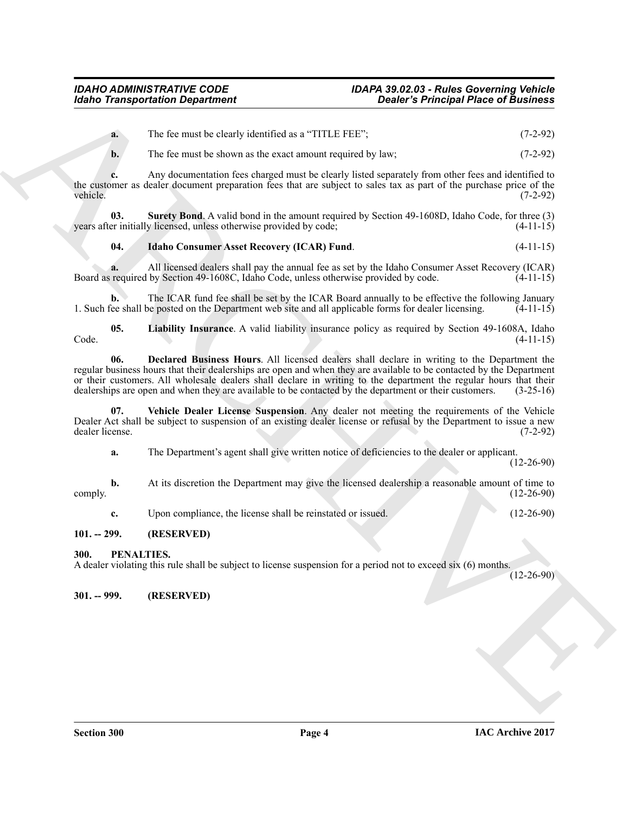**a.** The fee must be clearly identified as a "TITLE FEE"; (7-2-92)

**b.** The fee must be shown as the exact amount required by law; (7-2-92)

**c.** Any documentation fees charged must be clearly listed separately from other fees and identified to the customer as dealer document preparation fees that are subject to sales tax as part of the purchase price of the vehicle. (7-2-92)

**03. Surety Bond**. A valid bond in the amount required by Section 49-1608D, Idaho Code, for three (3) years after initially licensed, unless otherwise provided by code;

#### <span id="page-3-6"></span><span id="page-3-4"></span>**04. Idaho Consumer Asset Recovery (ICAR) Fund**. (4-11-15)

**a.** All licensed dealers shall pay the annual fee as set by the Idaho Consumer Asset Recovery (ICAR) required by Section 49-1608C, Idaho Code, unless otherwise provided by code. (4-11-15) Board as required by Section 49-1608C, Idaho Code, unless otherwise provided by code.

**b.** The ICAR fund fee shall be set by the ICAR Board annually to be effective the following January 1. Such fee shall be posted on the Department web site and all applicable forms for dealer licensing. (4-11-15)

<span id="page-3-5"></span><span id="page-3-3"></span>**05. Liability Insurance**. A valid liability insurance policy as required by Section 49-1608A, Idaho  $\text{Code.}$  (4-11-15)

**Example Transportation Department**<br>
The circumstant solution as **a** Third is a strained by the second by the control of the strained by the strained by the strained from the strained from the strained from the strained **06. Declared Business Hours**. All licensed dealers shall declare in writing to the Department the regular business hours that their dealerships are open and when they are available to be contacted by the Department or their customers. All wholesale dealers shall declare in writing to the department the regular hours that their dealerships are open and when they are available to be contacted by the department or their customers. (3-25-16)

**07. Vehicle Dealer License Suspension**. Any dealer not meeting the requirements of the Vehicle Dealer Act shall be subject to suspension of an existing dealer license or refusal by the Department to issue a new dealer license. (7-2-92)

<span id="page-3-7"></span>**a.** The Department's agent shall give written notice of deficiencies to the dealer or applicant.

(12-26-90)

**b.** At its discretion the Department may give the licensed dealership a reasonable amount of time to  $(12-26-90)$  $\text{complex} \tag{12-26-90}$ 

<span id="page-3-8"></span>**c.** Upon compliance, the license shall be reinstated or issued. (12-26-90)

### <span id="page-3-0"></span>**101. -- 299. (RESERVED)**

#### <span id="page-3-1"></span>**300. PENALTIES.**

A dealer violating this rule shall be subject to license suspension for a period not to exceed six (6) months.

(12-26-90)

<span id="page-3-2"></span>**301. -- 999. (RESERVED)**